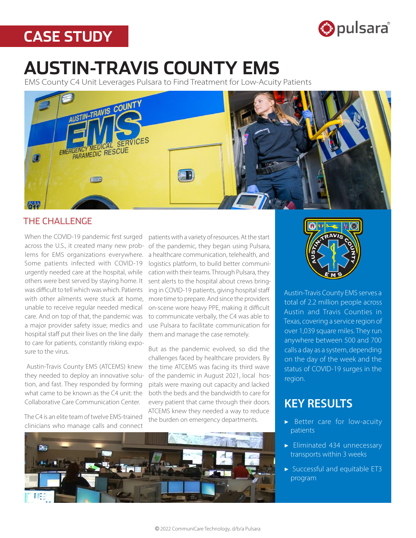## **CASE STUDY**



# **AUSTIN-TRAVIS COUNTY EMS**

EMS County C4 Unit Leverages Pulsara to Find Treatment for Low-Acuity Patients



## THE CHALLENGE

When the COVID-19 pandemic first surged across the U.S., it created many new problems for EMS organizations everywhere. Some patients infected with COVID-19 urgently needed care at the hospital, while others were best served by staying home. It was difficult to tell which was which. Patients with other ailments were stuck at home, unable to receive regular needed medical care. And on top of that, the pandemic was a major provider safety issue; medics and hospital staff put their lives on the line daily to care for patients, constantly risking exposure to the virus.

Austin-Travis County EMS (ATCEMS) knew they needed to deploy an innovative solution, and fast. They responded by forming what came to be known as the C4 unit: the Collaborative Care Communication Center.

The C4 is an elite team of twelve EMS-trained clinicians who manage calls and connect

patients with a variety of resources. At the start of the pandemic, they began using Pulsara, a healthcare communication, telehealth, and logistics platform, to build better communication with their teams. Through Pulsara, they sent alerts to the hospital about crews bringing in COVID-19 patients, giving hospital staff more time to prepare. And since the providers on-scene wore heavy PPE, making it difficult to communicate verbally, the C4 was able to use Pulsara to facilitate communication for them and manage the case remotely.

But as the pandemic evolved, so did the challenges faced by healthcare providers. By the time ATCEMS was facing its third wave of the pandemic in August 2021, local hospitals were maxing out capacity and lacked both the beds and the bandwidth to care for every patient that came through their doors. ATCEMS knew they needed a way to reduce the burden on emergency departments.





Austin-Travis County EMS serves a total of 2.2 million people across Austin and Travis Counties in Texas, covering a service region of over 1,039 square miles. They run anywhere between 500 and 700 calls a day as a system, depending on the day of the week and the status of COVID-19 surges in the region.

## KEY RESULTS

- ▶ Better care for low-acuity patients
- ▶ Eliminated 434 unnecessary transports within 3 weeks
- ▶ Successful and equitable ET3 program